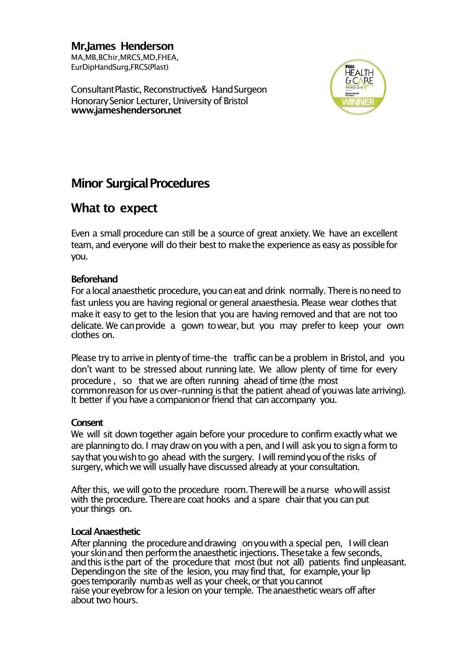**Mr.James Henderson** MA,MB,BChir,MRCS,MD,FHEA, EurDipHandSurg,FRCS(Plast)

ConsultantPlastic, Reconstructive& HandSurgeon Honorary Senior Lecturer, University of Bristol **www.jameshenderson.net**



# **Minor Surgical Procedures**

## **What to expect**

Even a small procedure can still be a source of great anxiety. We have an excellent team, and everyone will do their best to make the experience as easy as possible for you.

## **Beforehand**

For a local anaesthetic procedure, you can eat and drink normally. There is no need to fast unless you are having regional or general anaesthesia. Please wear clothes that make it easy to get to the lesion that you are having removed and that are not too delicate. We canprovide a gown towear, but you may prefer to keep your own clothes on.

Please try to arrive in plenty of time-the traffic can be a problem in Bristol, and you don't want to be stressed about running late. We allow plenty of time for every procedure, so that we are often running ahead of time (the most commonreason for us over-running is that the patient ahead of you was late arriving). It better if you have a companion or friend that can accompany you.

#### **Consent**

We will sit down together again before your procedure to confirm exactly what we are planning to do. I may draw on you with a pen, and I will askyou to sign a form to saythat youwishto go ahead with the surgery. I will remindyouofthe risks of surgery, which we will usually have discussed already at your consultation.

After this, we will goto the procedure room.Therewill be anurse whowill assist with the procedure. There are coat hooks and a spare chair that you can put your things on.

#### **LocalAnaesthetic**

After planning the procedure and drawing on you with a special pen, I will clean yourskinand then performthe anaesthetic injections. Thesetake a few seconds, andthis isthe part of the procedure that most(but not all) patients find unpleasant. Depending on the site of the lesion, you may find that, for example, your lip goestemporarily numbas well as your cheek,or that youcannot raise your eyebrow for a lesion on your temple. The anaesthetic wears off after about two hours.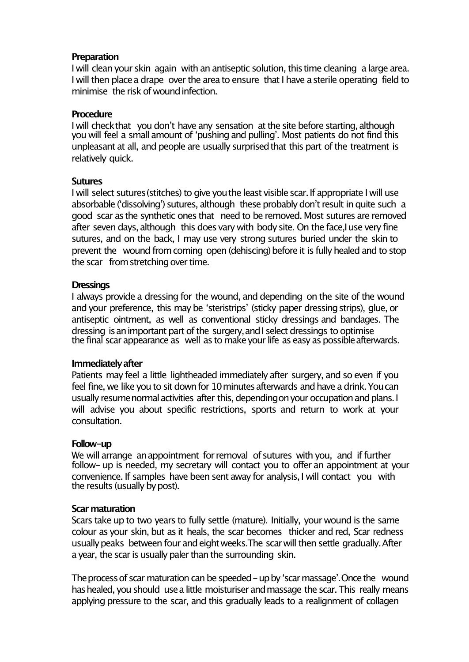### **Preparation**

I will clean your skin again with an antiseptic solution, this time cleaning a large area. I will then place a drape over the area to ensure that I have a sterile operating field to minimise the risk of wound infection.

### **Procedure**

I will check that you don't have any sensation at the site before starting, although you will feel a small amount of ʻpushing and pulling'. Most patients do not find this unpleasant at all, and people are usually surprised that this part of the treatment is relatively quick.

## **Sutures**

I will select sutures (stitches) to give you the least visible scar. If appropriate I will use absorbable ('dissolving') sutures, although these probably don't result in quite such a good scar asthe synthetic ones that need to be removed. Most sutures are removed after seven days, although this does vary with body site. On the face,I use very fine sutures, and on the back, I may use very strong sutures buried under the skin to prevent the wound from coming open (dehiscing) before it is fully healed and to stop the scar from stretching over time.

## **Dressings**

I always provide a dressing for the wound, and depending on the site of the wound and your preference, this may be ʻsteristrips' (sticky paper dressingstrips), glue, or antiseptic ointment, as well as conventional sticky dressings and bandages. The dressing is an important part of the surgery, and I select dressings to optimise the final scar appearance as well as to make your life as easy as possible afterwards.

#### **Immediatelyafter**

Patients may feel a little lightheaded immediately after surgery, and so even if you feel fine, we like you to sit down for 10 minutes afterwards and have a drink. You can usually resume normal activities after this, depending on your occupation and plans. I will advise you about specific restrictions, sports and return to work at your consultation.

#### **Follow-up**

We will arrange an appointment for removal of sutures with you, and if further follow- up is needed, my secretary will contact you to offer an appointment at your convenience. If samples have been sent away for analysis,I will contact you with the results (usually by post).

#### **Scar maturation**

Scars take up to two years to fully settle (mature). Initially, your wound is the same colour as your skin, but as it heals, the scar becomes thicker and red, Scar redness usually peaks between four and eight weeks. The scar will then settle gradually. After a year, the scar is usually paler than the surrounding skin.

The process of scar maturation can be speeded – up by 'scar massage'. Once the wound has healed, you should use a little moisturiser and massage the scar. This really means applying pressure to the scar, and this gradually leads to a realignment of collagen